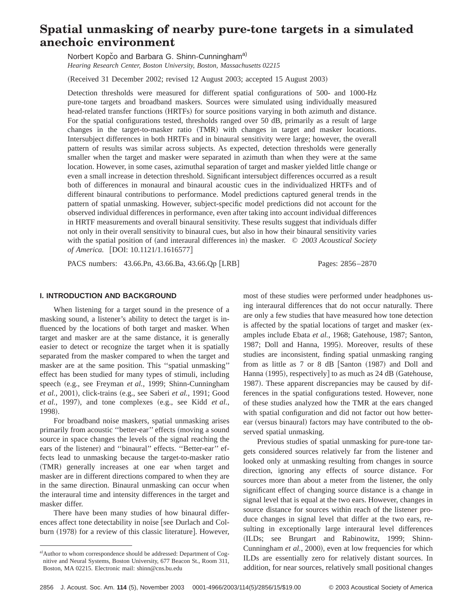# **Spatial unmasking of nearby pure-tone targets in a simulated anechoic environment**

Norbert Kopčo and Barbara G. Shinn-Cunningham<sup>a)</sup> *Hearing Research Center, Boston University, Boston, Massachusetts 02215*

(Received 31 December 2002; revised 12 August 2003; accepted 15 August 2003)

Detection thresholds were measured for different spatial configurations of 500- and 1000-Hz pure-tone targets and broadband maskers. Sources were simulated using individually measured head-related transfer functions (HRTFs) for source positions varying in both azimuth and distance. For the spatial configurations tested, thresholds ranged over 50 dB, primarily as a result of large changes in the target-to-masker ratio  $(TMR)$  with changes in target and masker locations. Intersubject differences in both HRTFs and in binaural sensitivity were large; however, the overall pattern of results was similar across subjects. As expected, detection thresholds were generally smaller when the target and masker were separated in azimuth than when they were at the same location. However, in some cases, azimuthal separation of target and masker yielded little change or even a small increase in detection threshold. Significant intersubject differences occurred as a result both of differences in monaural and binaural acoustic cues in the individualized HRTFs and of different binaural contributions to performance. Model predictions captured general trends in the pattern of spatial unmasking. However, subject-specific model predictions did not account for the observed individual differences in performance, even after taking into account individual differences in HRTF measurements and overall binaural sensitivity. These results suggest that individuals differ not only in their overall sensitivity to binaural cues, but also in how their binaural sensitivity varies with the spatial position of (and interaural differences in) the masker. © 2003 Acoustical Society *of America.* [DOI: 10.1121/1.1616577]

PACS numbers: 43.66.Pn, 43.66.Ba, 43.66.Qp [LRB] Pages: 2856–2870

**I. INTRODUCTION AND BACKGROUND**

When listening for a target sound in the presence of a masking sound, a listener's ability to detect the target is influenced by the locations of both target and masker. When target and masker are at the same distance, it is generally easier to detect or recognize the target when it is spatially separated from the masker compared to when the target and masker are at the same position. This ''spatial unmasking'' effect has been studied for many types of stimuli, including speech (e.g., see Freyman *et al.*, 1999; Shinn-Cunningham *et al.*, 2001), click-trains (e.g., see Saberi *et al.*, 1991; Good *et al.*, 1997), and tone complexes (e.g., see Kidd *et al.*, 1998).

For broadband noise maskers, spatial unmasking arises primarily from acoustic "better-ear" effects (moving a sound source in space changes the levels of the signal reaching the ears of the listener) and "binaural" effects. "Better-ear" effects lead to unmasking because the target-to-masker ratio (TMR) generally increases at one ear when target and masker are in different directions compared to when they are in the same direction. Binaural unmasking can occur when the interaural time and intensity differences in the target and masker differ.

There have been many studies of how binaural differences affect tone detectability in noise [see Durlach and Colburn (1978) for a review of this classic literature]. However, most of these studies were performed under headphones using interaural differences that do not occur naturally. There are only a few studies that have measured how tone detection is affected by the spatial locations of target and masker (examples include Ebata *et al.*, 1968; Gatehouse, 1987; Santon, 1987; Doll and Hanna, 1995). Moreover, results of these studies are inconsistent, finding spatial unmasking ranging from as little as  $7$  or  $8$  dB  $[Santon (1987)$  and Doll and Hanna  $(1995)$ , respectively] to as much as 24 dB (Gatehouse, 1987). These apparent discrepancies may be caused by differences in the spatial configurations tested. However, none of these studies analyzed how the TMR at the ears changed with spatial configuration and did not factor out how betterear (versus binaural) factors may have contributed to the observed spatial unmasking.

Previous studies of spatial unmasking for pure-tone targets considered sources relatively far from the listener and looked only at unmasking resulting from changes in source direction, ignoring any effects of source distance. For sources more than about a meter from the listener, the only significant effect of changing source distance is a change in signal level that is equal at the two ears. However, changes in source distance for sources within reach of the listener produce changes in signal level that differ at the two ears, resulting in exceptionally large interaural level differences (ILDs; see Brungart and Rabinowitz, 1999; Shinn-Cunningham *et al.*, 2000), even at low frequencies for which ILDs are essentially zero for relatively distant sources. In addition, for near sources, relatively small positional changes

a) Author to whom correspondence should be addressed: Department of Cognitive and Neural Systems, Boston University, 677 Beacon St., Room 311, Boston, MA 02215. Electronic mail: shinn@cns.bu.edu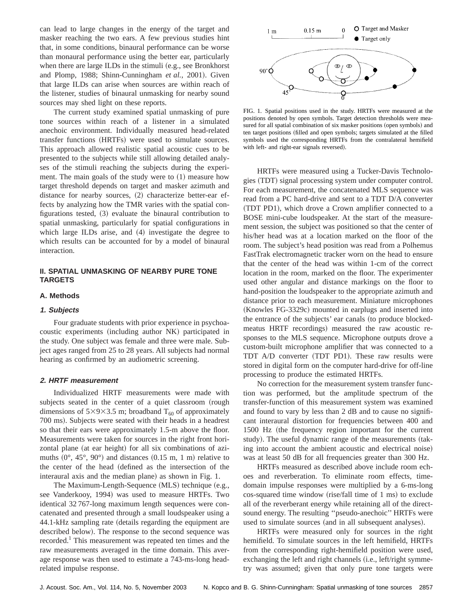can lead to large changes in the energy of the target and masker reaching the two ears. A few previous studies hint that, in some conditions, binaural performance can be worse than monaural performance using the better ear, particularly when there are large ILDs in the stimuli (e.g., see Bronkhorst and Plomp, 1988; Shinn-Cunningham et al., 2001). Given that large ILDs can arise when sources are within reach of the listener, studies of binaural unmasking for nearby sound sources may shed light on these reports.

The current study examined spatial unmasking of pure tone sources within reach of a listener in a simulated anechoic environment. Individually measured head-related transfer functions (HRTFs) were used to simulate sources. This approach allowed realistic spatial acoustic cues to be presented to the subjects while still allowing detailed analyses of the stimuli reaching the subjects during the experiment. The main goals of the study were to  $(1)$  measure how target threshold depends on target and masker azimuth and distance for nearby sources,  $(2)$  characterize better-ear effects by analyzing how the TMR varies with the spatial configurations tested,  $(3)$  evaluate the binaural contribution to spatial unmasking, particularly for spatial configurations in which large ILDs arise, and (4) investigate the degree to which results can be accounted for by a model of binaural interaction.

# **II. SPATIAL UNMASKING OF NEARBY PURE TONE TARGETS**

### **A. Methods**

#### **1. Subjects**

Four graduate students with prior experience in psychoacoustic experiments (including author NK) participated in the study. One subject was female and three were male. Subject ages ranged from 25 to 28 years. All subjects had normal hearing as confirmed by an audiometric screening.

### **2. HRTF measurement**

Individualized HRTF measurements were made with subjects seated in the center of a quiet classroom (rough dimensions of  $5\times9\times3.5$  m; broadband T<sub>60</sub> of approximately 700 ms). Subjects were seated with their heads in a headrest so that their ears were approximately 1.5-m above the floor. Measurements were taken for sources in the right front horizontal plane (at ear height) for all six combinations of azimuths  $(0^{\circ}, 45^{\circ}, 90^{\circ})$  and distances  $(0.15 \text{ m}, 1 \text{ m})$  relative to the center of the head (defined as the intersection of the interaural axis and the median plane) as shown in Fig. 1.

The Maximum-Length-Sequence  $(MLS)$  technique  $(e.g.,)$ see Vanderkooy, 1994) was used to measure HRTFs. Two identical 32 767-long maximum length sequences were concatenated and presented through a small loudspeaker using a 44.1-kHz sampling rate (details regarding the equipment are described below). The response to the second sequence was recorded.<sup>1</sup> This measurement was repeated ten times and the raw measurements averaged in the time domain. This average response was then used to estimate a 743-ms-long headrelated impulse response.



FIG. 1. Spatial positions used in the study. HRTFs were measured at the positions denoted by open symbols. Target detection thresholds were measured for all spatial combination of six masker positions (open symbols) and ten target positions (filled and open symbols; targets simulated at the filled symbols used the corresponding HRTFs from the contralateral hemifield with left- and right-ear signals reversed).

HRTFs were measured using a Tucker-Davis Technologies (TDT) signal processing system under computer control. For each measurement, the concatenated MLS sequence was read from a PC hard-drive and sent to a TDT D/A converter (TDT PD1), which drove a Crown amplifier connected to a BOSE mini-cube loudspeaker. At the start of the measurement session, the subject was positioned so that the center of his/her head was at a location marked on the floor of the room. The subject's head position was read from a Polhemus FastTrak electromagnetic tracker worn on the head to ensure that the center of the head was within 1-cm of the correct location in the room, marked on the floor. The experimenter used other angular and distance markings on the floor to hand-position the loudspeaker to the appropriate azimuth and distance prior to each measurement. Miniature microphones (Knowles FG-3329c) mounted in earplugs and inserted into the entrance of the subjects' ear canals (to produce blockedmeatus HRTF recordings) measured the raw acoustic responses to the MLS sequence. Microphone outputs drove a custom-built microphone amplifier that was connected to a TDT A/D converter (TDT PD1). These raw results were stored in digital form on the computer hard-drive for off-line processing to produce the estimated HRTFs.

No correction for the measurement system transfer function was performed, but the amplitude spectrum of the transfer-function of this measurement system was examined and found to vary by less than 2 dB and to cause no significant interaural distortion for frequencies between 400 and 1500 Hz (the frequency region important for the current study). The useful dynamic range of the measurements (taking into account the ambient acoustic and electrical noise) was at least 50 dB for all frequencies greater than 300 Hz.

HRTFs measured as described above include room echoes and reverberation. To eliminate room effects, timedomain impulse responses were multiplied by a 6-ms-long  $\cos$ -squared time window (rise/fall time of 1 ms) to exclude all of the reverberant energy while retaining all of the directsound energy. The resulting ''pseudo-anechoic'' HRTFs were used to simulate sources (and in all subsequent analyses).

HRTFs were measured only for sources in the right hemifield. To simulate sources in the left hemifield, HRTFs from the corresponding right-hemifield position were used, exchanging the left and right channels (i.e., left/right symmetry was assumed; given that only pure tone targets were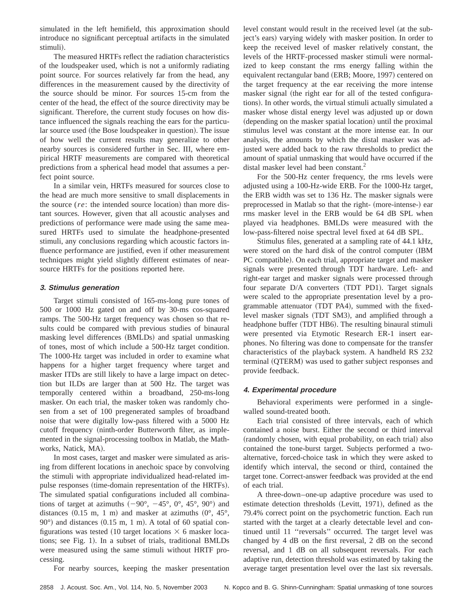simulated in the left hemifield, this approximation should introduce no significant perceptual artifacts in the simulated stimuli).

The measured HRTFs reflect the radiation characteristics of the loudspeaker used, which is not a uniformly radiating point source. For sources relatively far from the head, any differences in the measurement caused by the directivity of the source should be minor. For sources 15-cm from the center of the head, the effect of the source directivity may be significant. Therefore, the current study focuses on how distance influenced the signals reaching the ears for the particular source used (the Bose loudspeaker in question). The issue of how well the current results may generalize to other nearby sources is considered further in Sec. III, where empirical HRTF measurements are compared with theoretical predictions from a spherical head model that assumes a perfect point source.

In a similar vein, HRTFs measured for sources close to the head are much more sensitive to small displacements in the source (*re*: the intended source location) than more distant sources. However, given that all acoustic analyses and predictions of performance were made using the same measured HRTFs used to simulate the headphone-presented stimuli, any conclusions regarding which acoustic factors influence performance are justified, even if other measurement techniques might yield slightly different estimates of nearsource HRTFs for the positions reported here.

# **3. Stimulus generation**

Target stimuli consisted of 165-ms-long pure tones of 500 or 1000 Hz gated on and off by 30-ms cos-squared ramps. The 500-Hz target frequency was chosen so that results could be compared with previous studies of binaural masking level differences (BMLDs) and spatial unmasking of tones, most of which include a 500-Hz target condition. The 1000-Hz target was included in order to examine what happens for a higher target frequency where target and masker ITDs are still likely to have a large impact on detection but ILDs are larger than at 500 Hz. The target was temporally centered within a broadband, 250-ms-long masker. On each trial, the masker token was randomly chosen from a set of 100 pregenerated samples of broadband noise that were digitally low-pass filtered with a 5000 Hz cutoff frequency (ninth-order Butterworth filter, as implemented in the signal-processing toolbox in Matlab, the Mathworks, Natick, MA).

In most cases, target and masker were simulated as arising from different locations in anechoic space by convolving the stimuli with appropriate individualized head-related impulse responses (time-domain representation of the HRTFs). The simulated spatial configurations included all combinations of target at azimuths  $(-90^{\circ}, -45^{\circ}, 0^{\circ}, 45^{\circ}, 90^{\circ})$  and distances  $(0.15 \text{ m}, 1 \text{ m})$  and masker at azimuths  $(0^{\circ}, 45^{\circ},$  $90^{\circ}$ ) and distances  $(0.15 \text{ m}, 1 \text{ m})$ . A total of 60 spatial configurations was tested (10 target locations  $\times$  6 masker locations; see Fig. 1). In a subset of trials, traditional BMLDs were measured using the same stimuli without HRTF processing.

For nearby sources, keeping the masker presentation

level constant would result in the received level (at the subject's ears) varying widely with masker position. In order to keep the received level of masker relatively constant, the levels of the HRTF-processed masker stimuli were normalized to keep constant the rms energy falling within the equivalent rectangular band (ERB; Moore, 1997) centered on the target frequency at the ear receiving the more intense masker signal (the right ear for all of the tested configurations). In other words, the virtual stimuli actually simulated a masker whose distal energy level was adjusted up or down (depending on the masker spatial location) until the proximal stimulus level was constant at the more intense ear. In our analysis, the amounts by which the distal masker was adjusted were added back to the raw thresholds to predict the amount of spatial unmasking that would have occurred if the distal masker level had been constant.<sup>2</sup>

For the 500-Hz center frequency, the rms levels were adjusted using a 100-Hz-wide ERB. For the 1000-Hz target, the ERB width was set to 136 Hz. The masker signals were preprocessed in Matlab so that the right- (more-intense-) ear rms masker level in the ERB would be 64 dB SPL when played via headphones. BMLDs were measured with the low-pass-filtered noise spectral level fixed at 64 dB SPL.

Stimulus files, generated at a sampling rate of 44.1 kHz, were stored on the hard disk of the control computer (IBM PC compatible). On each trial, appropriate target and masker signals were presented through TDT hardware. Left- and right-ear target and masker signals were processed through four separate D/A converters (TDT PD1). Target signals were scaled to the appropriate presentation level by a programmable attenuator (TDT PA4), summed with the fixedlevel masker signals (TDT SM3), and amplified through a headphone buffer (TDT HB6). The resulting binaural stimuli were presented via Etymotic Research ER-1 insert earphones. No filtering was done to compensate for the transfer characteristics of the playback system. A handheld RS 232 terminal (QTERM) was used to gather subject responses and provide feedback.

### **4. Experimental procedure**

Behavioral experiments were performed in a singlewalled sound-treated booth.

Each trial consisted of three intervals, each of which contained a noise burst. Either the second or third interval (randomly chosen, with equal probability, on each trial) also contained the tone-burst target. Subjects performed a twoalternative, forced-choice task in which they were asked to identify which interval, the second or third, contained the target tone. Correct-answer feedback was provided at the end of each trial.

A three-down–one-up adaptive procedure was used to estimate detection thresholds (Levitt, 1971), defined as the 79.4% correct point on the psychometric function. Each run started with the target at a clearly detectable level and continued until 11 ''reversals'' occurred. The target level was changed by 4 dB on the first reversal, 2 dB on the second reversal, and 1 dB on all subsequent reversals. For each adaptive run, detection threshold was estimated by taking the average target presentation level over the last six reversals.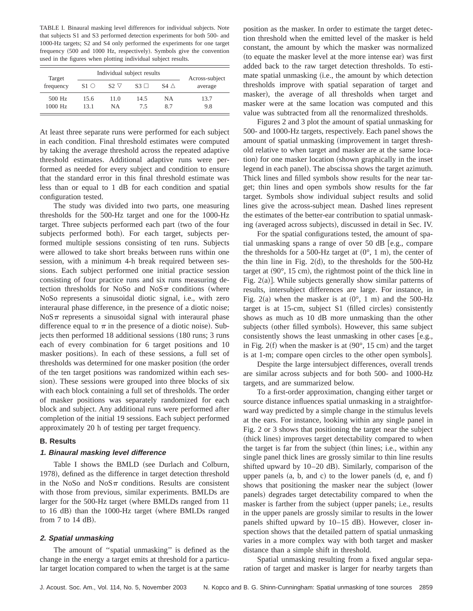TABLE I. Binaural masking level differences for individual subjects. Note that subjects S1 and S3 performed detection experiments for both 500- and 1000-Hz targets; S2 and S4 only performed the experiments for one target frequency (500 and 1000 Hz, respectively). Symbols give the convention used in the figures when plotting individual subject results.

| Target<br>frequency | Individual subject results |             |               |             | Across-subject |
|---------------------|----------------------------|-------------|---------------|-------------|----------------|
|                     | S1 O                       | $S2 \nabla$ | $S_3 \square$ | S4 $\wedge$ | average        |
| $500$ Hz            | 15.6                       | 11.0        | 14.5          | NΑ          | 13.7           |
| $1000$ Hz           | 13.1                       | NΑ          | 75            | 87          | 9.8            |

At least three separate runs were performed for each subject in each condition. Final threshold estimates were computed by taking the average threshold across the repeated adaptive threshold estimates. Additional adaptive runs were performed as needed for every subject and condition to ensure that the standard error in this final threshold estimate was less than or equal to 1 dB for each condition and spatial configuration tested.

The study was divided into two parts, one measuring thresholds for the 500-Hz target and one for the 1000-Hz target. Three subjects performed each part (two of the four subjects performed both). For each target, subjects performed multiple sessions consisting of ten runs. Subjects were allowed to take short breaks between runs within one session, with a minimum 4-h break required between sessions. Each subject performed one initial practice session consisting of four practice runs and six runs measuring detection thresholds for NoSo and NoS $\pi$  conditions (where NoSo represents a sinusoidal diotic signal, i.e., with zero interaural phase difference, in the presence of a diotic noise;  $NoS\pi$  represents a sinusoidal signal with interaural phase difference equal to  $\pi$  in the presence of a diotic noise). Subjects then performed 18 additional sessions (180 runs; 3 runs each of every combination for 6 target positions and 10 masker positions). In each of these sessions, a full set of thresholds was determined for one masker position (the order of the ten target positions was randomized within each session). These sessions were grouped into three blocks of six with each block containing a full set of thresholds. The order of masker positions was separately randomized for each block and subject. Any additional runs were performed after completion of the initial 19 sessions. Each subject performed approximately 20 h of testing per target frequency.

### **B. Results**

# **1. Binaural masking level difference**

Table I shows the BMLD (see Durlach and Colburn, 1978), defined as the difference in target detection threshold in the NoSo and NoS $\pi$  conditions. Results are consistent with those from previous, similar experiments. BMLDs are larger for the 500-Hz target (where BMLDs ranged from 11 to  $16$  dB) than the  $1000$ -Hz target (where BMLDs ranged from  $7$  to  $14$  dB).

### **2. Spatial unmasking**

The amount of ''spatial unmasking'' is defined as the change in the energy a target emits at threshold for a particular target location compared to when the target is at the same position as the masker. In order to estimate the target detection threshold when the emitted level of the masker is held constant, the amount by which the masker was normalized (to equate the masker level at the more intense ear) was first added back to the raw target detection thresholds. To estimate spatial unmasking (i.e., the amount by which detection thresholds improve with spatial separation of target and masker), the average of all thresholds when target and masker were at the same location was computed and this value was subtracted from all the renormalized thresholds.

Figures 2 and 3 plot the amount of spatial unmasking for 500- and 1000-Hz targets, respectively. Each panel shows the amount of spatial unmasking (improvement in target threshold relative to when target and masker are at the same location) for one masker location (shown graphically in the inset legend in each panel). The abscissa shows the target azimuth. Thick lines and filled symbols show results for the near target; thin lines and open symbols show results for the far target. Symbols show individual subject results and solid lines give the across-subject mean. Dashed lines represent the estimates of the better-ear contribution to spatial unmasking (averaged across subjects), discussed in detail in Sec. IV.

For the spatial configurations tested, the amount of spatial unmasking spans a range of over 50 dB  $[$ e.g., compare the thresholds for a 500-Hz target at  $(0^{\circ}, 1 \text{ m})$ , the center of the thin line in Fig. 2 $(d)$ , to the thresholds for the 500-Hz target at  $(90^{\circ}, 15 \text{ cm})$ , the rightmost point of the thick line in Fig.  $2(a)$ ]. While subjects generally show similar patterns of results, intersubject differences are large. For instance, in Fig. 2(a) when the masker is at  $(0^{\circ}, 1 \text{ m})$  and the 500-Hz target is at  $15$ -cm, subject S1 (filled circles) consistently shows as much as 10 dB more unmasking than the other subjects (other filled symbols). However, this same subject consistently shows the least unmasking in other cases  $[e.g.,]$ in Fig.  $2(f)$  when the masker is at  $(90^{\circ}, 15 \text{ cm})$  and the target is at 1-m; compare open circles to the other open symbols].

Despite the large intersubject differences, overall trends are similar across subjects and for both 500- and 1000-Hz targets, and are summarized below.

To a first-order approximation, changing either target or source distance influences spatial unmasking in a straightforward way predicted by a simple change in the stimulus levels at the ears. For instance, looking within any single panel in Fig. 2 or 3 shows that positioning the target near the subject (thick lines) improves target detectability compared to when the target is far from the subject (thin lines; i.e., within any single panel thick lines are grossly similar to thin line results shifted upward by  $10-20$  dB). Similarly, comparison of the upper panels  $(a, b, and c)$  to the lower panels  $(d, e, and f)$ shows that positioning the masker near the subject (lower panels) degrades target detectability compared to when the masker is farther from the subject (upper panels; i.e., results in the upper panels are grossly similar to results in the lower panels shifted upward by  $10-15$  dB). However, closer inspection shows that the detailed pattern of spatial unmasking varies in a more complex way with both target and masker distance than a simple shift in threshold.

Spatial unmasking resulting from a fixed angular separation of target and masker is larger for nearby targets than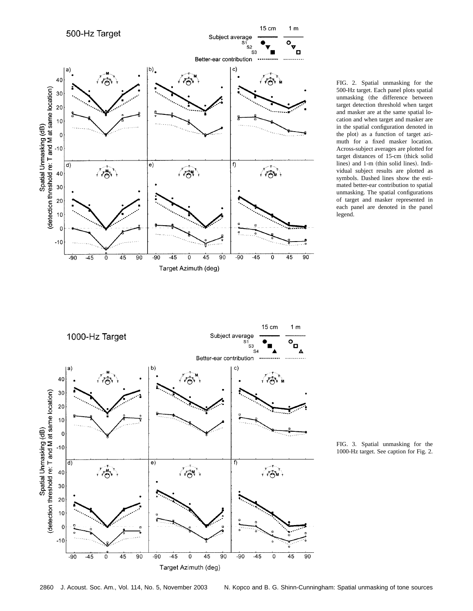

FIG. 2. Spatial unmasking for the 500-Hz target. Each panel plots spatial unmasking (the difference between target detection threshold when target and masker are at the same spatial location and when target and masker are in the spatial configuration denoted in the plot) as a function of target azimuth for a fixed masker location. Across-subject averages are plotted for target distances of 15-cm (thick solid lines) and 1-m (thin solid lines). Individual subject results are plotted as symbols. Dashed lines show the estimated better-ear contribution to spatial unmasking. The spatial configurations of target and masker represented in each panel are denoted in the panel legend.



FIG. 3. Spatial unmasking for the 1000-Hz target. See caption for Fig. 2.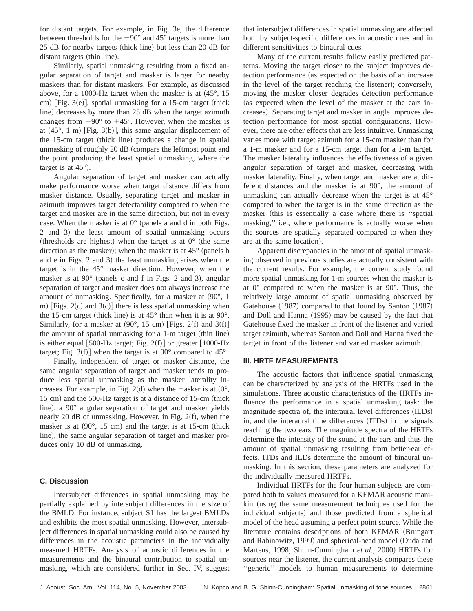for distant targets. For example, in Fig. 3e, the difference between thresholds for the  $-90^\circ$  and  $45^\circ$  targets is more than  $25$  dB for nearby targets (thick line) but less than  $20$  dB for distant targets (thin line).

Similarly, spatial unmasking resulting from a fixed angular separation of target and masker is larger for nearby maskers than for distant maskers. For example, as discussed above, for a 1000-Hz target when the masker is at  $(45^{\circ}, 15)$ cm) [Fig.  $3(e)$ ], spatial unmasking for a 15-cm target (thick line) decreases by more than 25 dB when the target azimuth changes from  $-90^{\circ}$  to  $+45^{\circ}$ . However, when the masker is at  $(45^{\circ}, 1 \text{ m})$  [Fig. 3(b)], this same angular displacement of the 15-cm target (thick line) produces a change in spatial unmasking of roughly 20 dB (compare the leftmost point and the point producing the least spatial unmasking, where the target is at  $45^{\circ}$ ).

Angular separation of target and masker can actually make performance worse when target distance differs from masker distance. Usually, separating target and masker in azimuth improves target detectability compared to when the target and masker are in the same direction, but not in every case. When the masker is at  $0^{\circ}$  (panels a and d in both Figs. 2 and 3) the least amount of spatial unmasking occurs (thresholds are highest) when the target is at  $0^{\circ}$  (the same direction as the masker); when the masker is at  $45^{\circ}$  (panels b and  $e$  in Figs. 2 and 3) the least unmasking arises when the target is in the 45° masker direction. However, when the masker is at  $90^{\circ}$  (panels c and f in Figs. 2 and 3), angular separation of target and masker does not always increase the amount of unmasking. Specifically, for a masker at  $(90^{\circ}, 1)$ m) [Figs.  $2(c)$  and  $3(c)$ ] there is less spatial unmasking when the 15-cm target (thick line) is at  $45^{\circ}$  than when it is at 90 $^{\circ}$ . Similarly, for a masker at  $(90^{\circ}, 15 \text{ cm})$  [Figs. 2(f) and 3(f)] the amount of spatial unmasking for a  $1-m$  target (thin line) is either equal  $[500-Hz$  target; Fig. 2(f)] or greater  $[1000-Hz]$ target; Fig. 3 $(f)$ ] when the target is at 90 $^{\circ}$  compared to 45 $^{\circ}$ .

Finally, independent of target or masker distance, the same angular separation of target and masker tends to produce less spatial unmasking as the masker laterality increases. For example, in Fig. 2(d) when the masker is at  $(0^{\circ},$ 15 cm) and the 500-Hz target is at a distance of 15-cm (thick line), a  $90^\circ$  angular separation of target and masker yields nearly 20 dB of unmasking. However, in Fig.  $2(f)$ , when the masker is at  $(90^{\circ}, 15 \text{ cm})$  and the target is at 15-cm (thick line), the same angular separation of target and masker produces only 10 dB of unmasking.

### **C. Discussion**

Intersubject differences in spatial unmasking may be partially explained by intersubject differences in the size of the BMLD. For instance, subject S1 has the largest BMLDs and exhibits the most spatial unmasking. However, intersubject differences in spatial unmasking could also be caused by differences in the acoustic parameters in the individually measured HRTFs. Analysis of acoustic differences in the measurements and the binaural contribution to spatial unmasking, which are considered further in Sec. IV, suggest that intersubject differences in spatial unmasking are affected both by subject-specific differences in acoustic cues and in different sensitivities to binaural cues.

Many of the current results follow easily predicted patterns. Moving the target closer to the subject improves detection performance (as expected on the basis of an increase in the level of the target reaching the listener); conversely, moving the masker closer degrades detection performance (as expected when the level of the masker at the ears increases). Separating target and masker in angle improves detection performance for most spatial configurations. However, there are other effects that are less intuitive. Unmasking varies more with target azimuth for a 15-cm masker than for a 1-m masker and for a 15-cm target than for a 1-m target. The masker laterality influences the effectiveness of a given angular separation of target and masker, decreasing with masker laterality. Finally, when target and masker are at different distances and the masker is at 90°, the amount of unmasking can actually decrease when the target is at 45° compared to when the target is in the same direction as the masker (this is essentially a case where there is "spatial masking,'' i.e., where performance is actually worse when the sources are spatially separated compared to when they are at the same location).

Apparent discrepancies in the amount of spatial unmasking observed in previous studies are actually consistent with the current results. For example, the current study found more spatial unmasking for 1-m sources when the masker is at 0° compared to when the masker is at 90°. Thus, the relatively large amount of spatial unmasking observed by Gatehouse (1987) compared to that found by Santon (1987) and Doll and Hanna (1995) may be caused by the fact that Gatehouse fixed the masker in front of the listener and varied target azimuth, whereas Santon and Doll and Hanna fixed the target in front of the listener and varied masker azimuth.

### **III. HRTF MEASUREMENTS**

The acoustic factors that influence spatial unmasking can be characterized by analysis of the HRTFs used in the simulations. Three acoustic characteristics of the HRTFs influence the performance in a spatial unmasking task: the magnitude spectra of, the interaural level differences (ILDs) in, and the interaural time differences (ITDs) in the signals reaching the two ears. The magnitude spectra of the HRTFs determine the intensity of the sound at the ears and thus the amount of spatial unmasking resulting from better-ear effects. ITDs and ILDs determine the amount of binaural unmasking. In this section, these parameters are analyzed for the individually measured HRTFs.

Individual HRTFs for the four human subjects are compared both to values measured for a KEMAR acoustic manikin (using the same measurement techniques used for the individual subjects) and those predicted from a spherical model of the head assuming a perfect point source. While the literature contains descriptions of both KEMAR (Brungart and Rabinowitz, 1999) and spherical-head model (Duda and Martens, 1998; Shinn-Cunningham *et al.*, 2000) HRTFs for sources near the listener, the current analysis compares these "generic" models to human measurements to determine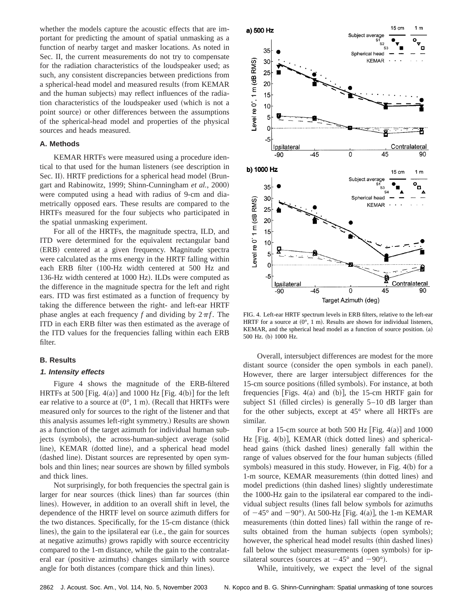whether the models capture the acoustic effects that are important for predicting the amount of spatial unmasking as a function of nearby target and masker locations. As noted in Sec. II, the current measurements do not try to compensate for the radiation characteristics of the loudspeaker used; as such, any consistent discrepancies between predictions from a spherical-head model and measured results (from KEMAR and the human subjects) may reflect influences of the radiation characteristics of the loudspeaker used (which is not a point source) or other differences between the assumptions of the spherical-head model and properties of the physical sources and heads measured.

### **A. Methods**

KEMAR HRTFs were measured using a procedure identical to that used for the human listeners (see description in Sec. II). HRTF predictions for a spherical head model (Brungart and Rabinowitz, 1999; Shinn-Cunningham *et al.*, 2000) were computed using a head with radius of 9-cm and diametrically opposed ears. These results are compared to the HRTFs measured for the four subjects who participated in the spatial unmasking experiment.

For all of the HRTFs, the magnitude spectra, ILD, and ITD were determined for the equivalent rectangular band (ERB) centered at a given frequency. Magnitude spectra were calculated as the rms energy in the HRTF falling within each ERB filter (100-Hz width centered at 500 Hz and 136-Hz width centered at 1000 Hz). ILDs were computed as the difference in the magnitude spectra for the left and right ears. ITD was first estimated as a function of frequency by taking the difference between the right- and left-ear HRTF phase angles at each frequency *f* and dividing by  $2\pi f$ . The ITD in each ERB filter was then estimated as the average of the ITD values for the frequencies falling within each ERB filter.

### **B. Results**

#### **1. Intensity effects**

Figure 4 shows the magnitude of the ERB-filtered HRTFs at 500 [Fig. 4(a)] and 1000 Hz [Fig. 4(b)] for the left ear relative to a source at  $(0^{\circ}, 1 \text{ m})$ . (Recall that HRTFs were measured only for sources to the right of the listener and that this analysis assumes left-right symmetry.! Results are shown as a function of the target azimuth for individual human subjects (symbols), the across-human-subject average (solid line), KEMAR (dotted line), and a spherical head model (dashed line). Distant sources are represented by open symbols and thin lines; near sources are shown by filled symbols and thick lines.

Not surprisingly, for both frequencies the spectral gain is larger for near sources (thick lines) than far sources (thin lines). However, in addition to an overall shift in level, the dependence of the HRTF level on source azimuth differs for the two distances. Specifically, for the 15-cm distance (thick lines), the gain to the ipsilateral ear  $(i.e.,$  the gain for sources at negative azimuths) grows rapidly with source eccentricity compared to the 1-m distance, while the gain to the contralateral ear (positive azimuths) changes similarly with source angle for both distances (compare thick and thin lines).



FIG. 4. Left-ear HRTF spectrum levels in ERB filters, relative to the left-ear HRTF for a source at  $(0^{\circ}, 1 \text{ m})$ . Results are shown for individual listeners, KEMAR, and the spherical head model as a function of source position. (a) 500 Hz. (b) 1000 Hz.

Overall, intersubject differences are modest for the more distant source (consider the open symbols in each panel). However, there are larger intersubject differences for the 15-cm source positions (filled symbols). For instance, at both frequencies [Figs. 4(a) and (b)], the 15-cm HRTF gain for subject S1 (filled circles) is generally  $5-10$  dB larger than for the other subjects, except at 45° where all HRTFs are similar.

For a 15-cm source at both 500 Hz [Fig.  $4(a)$ ] and 1000 Hz  $[Fig. 4(b)]$ , KEMAR (thick dotted lines) and sphericalhead gains (thick dashed lines) generally fall within the range of values observed for the four human subjects (filled symbols) measured in this study. However, in Fig.  $4(b)$  for a 1-m source, KEMAR measurements (thin dotted lines) and model predictions (thin dashed lines) slightly underestimate the 1000-Hz gain to the ipsilateral ear compared to the individual subject results (lines fall below symbols for azimuths of  $-45^{\circ}$  and  $-90^{\circ}$ ). At 500-Hz [Fig. 4(a)], the 1-m KEMAR measurements (thin dotted lines) fall within the range of results obtained from the human subjects (open symbols); however, the spherical head model results (thin dashed lines) fall below the subject measurements (open symbols) for ipsilateral sources (sources at  $-45^{\circ}$  and  $-90^{\circ}$ ).

While, intuitively, we expect the level of the signal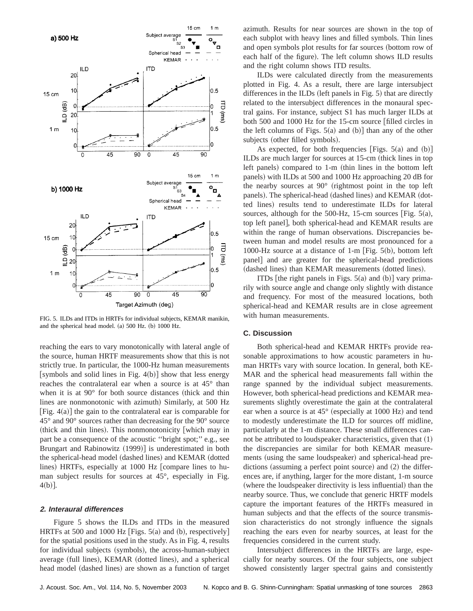

FIG. 5. ILDs and ITDs in HRTFs for individual subjects, KEMAR manikin, and the spherical head model.  $(a)$  500 Hz.  $(b)$  1000 Hz.

reaching the ears to vary monotonically with lateral angle of the source, human HRTF measurements show that this is not strictly true. In particular, the 1000-Hz human measurements [symbols and solid lines in Fig. 4(b)] show that less energy reaches the contralateral ear when a source is at 45° than when it is at  $90^{\circ}$  for both source distances (thick and thin lines are nonmonotonic with azimuth) Similarly, at 500 Hz [Fig.  $4(a)$ ] the gain to the contralateral ear is comparable for 45° and 90° sources rather than decreasing for the 90° source (thick and thin lines). This nonmonotonicity which may in part be a consequence of the acoustic ''bright spot;'' e.g., see Brungart and Rabinowitz  $(1999)$  is underestimated in both the spherical-head model (dashed lines) and KEMAR (dotted lines) HRTFs, especially at 1000 Hz [compare lines to human subject results for sources at 45°, especially in Fig.  $4(b)$ ].

# **2. Interaural differences**

Figure 5 shows the ILDs and ITDs in the measured HRTFs at 500 and 1000 Hz [Figs.  $5(a)$  and (b), respectively] for the spatial positions used in the study. As in Fig. 4, results for individual subjects (symbols), the across-human-subject average (full lines), KEMAR (dotted lines), and a spherical head model (dashed lines) are shown as a function of target azimuth. Results for near sources are shown in the top of each subplot with heavy lines and filled symbols. Thin lines and open symbols plot results for far sources (bottom row of each half of the figure). The left column shows ILD results and the right column shows ITD results.

ILDs were calculated directly from the measurements plotted in Fig. 4. As a result, there are large intersubject differences in the ILDs (left panels in Fig.  $5$ ) that are directly related to the intersubject differences in the monaural spectral gains. For instance, subject S1 has much larger ILDs at both 500 and 1000 Hz for the 15-cm source  $\int$  filled circles in the left columns of Figs.  $5(a)$  and  $(b)$ ] than any of the other subjects (other filled symbols).

As expected, for both frequencies [Figs.  $5(a)$  and  $(b)$ ] ILDs are much larger for sources at 15-cm (thick lines in top left panels) compared to 1-m (thin lines in the bottom left panels) with ILDs at 500 and 1000 Hz approaching 20 dB for the nearby sources at  $90^{\circ}$  (rightmost point in the top left panels). The spherical-head (dashed lines) and KEMAR (dotted lines) results tend to underestimate ILDs for lateral sources, although for the 500-Hz, 15-cm sources [Fig.  $5(a)$ , top left panel, both spherical-head and KEMAR results are within the range of human observations. Discrepancies between human and model results are most pronounced for a 1000-Hz source at a distance of 1-m [Fig.  $5(b)$ , bottom left panel and are greater for the spherical-head predictions (dashed lines) than KEMAR measurements (dotted lines).

ITDs [the right panels in Figs.  $5(a)$  and  $(b)$ ] vary primarily with source angle and change only slightly with distance and frequency. For most of the measured locations, both spherical-head and KEMAR results are in close agreement with human measurements.

#### **C. Discussion**

Both spherical-head and KEMAR HRTFs provide reasonable approximations to how acoustic parameters in human HRTFs vary with source location. In general, both KE-MAR and the spherical head measurements fall within the range spanned by the individual subject measurements. However, both spherical-head predictions and KEMAR measurements slightly overestimate the gain at the contralateral ear when a source is at  $45^{\circ}$  (especially at 1000 Hz) and tend to modestly underestimate the ILD for sources off midline, particularly at the 1-m distance. These small differences cannot be attributed to loudspeaker characteristics, given that  $(1)$ the discrepancies are similar for both KEMAR measurements (using the same loudspeaker) and spherical-head predictions (assuming a perfect point source) and  $(2)$  the differences are, if anything, larger for the more distant, 1-m source (where the loudspeaker directivity is less influential) than the nearby source. Thus, we conclude that generic HRTF models capture the important features of the HRTFs measured in human subjects and that the effects of the source transmission characteristics do not strongly influence the signals reaching the ears even for nearby sources, at least for the frequencies considered in the current study.

Intersubject differences in the HRTFs are large, especially for nearby sources. Of the four subjects, one subject showed consistently larger spectral gains and consistently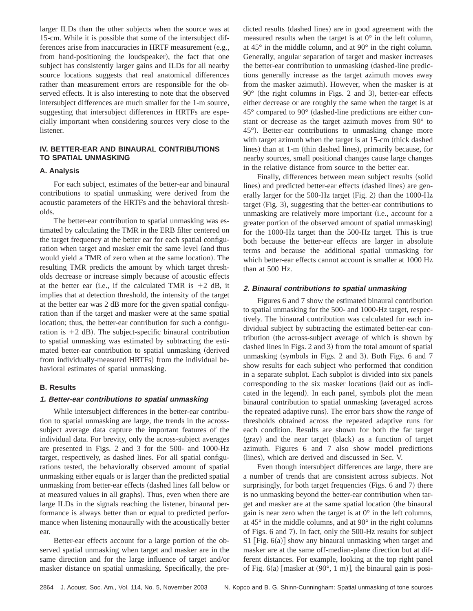larger ILDs than the other subjects when the source was at 15-cm. While it is possible that some of the intersubject differences arise from inaccuracies in HRTF measurement  $(e.g.,)$ from hand-positioning the loudspeaker), the fact that one subject has consistently larger gains and ILDs for all nearby source locations suggests that real anatomical differences rather than measurement errors are responsible for the observed effects. It is also interesting to note that the observed intersubject differences are much smaller for the 1-m source, suggesting that intersubject differences in HRTFs are especially important when considering sources very close to the listener.

# **IV. BETTER-EAR AND BINAURAL CONTRIBUTIONS TO SPATIAL UNMASKING**

### **A. Analysis**

For each subject, estimates of the better-ear and binaural contributions to spatial unmasking were derived from the acoustic parameters of the HRTFs and the behavioral thresholds.

The better-ear contribution to spatial unmasking was estimated by calculating the TMR in the ERB filter centered on the target frequency at the better ear for each spatial configuration when target and masker emit the same level (and thus would yield a TMR of zero when at the same location). The resulting TMR predicts the amount by which target thresholds decrease or increase simply because of acoustic effects at the better ear (i.e., if the calculated TMR is  $+2$  dB, it implies that at detection threshold, the intensity of the target at the better ear was 2 dB more for the given spatial configuration than if the target and masker were at the same spatial location; thus, the better-ear contribution for such a configuration is  $+2$  dB). The subject-specific binaural contribution to spatial unmasking was estimated by subtracting the estimated better-ear contribution to spatial unmasking (derived from individually-measured HRTFs) from the individual behavioral estimates of spatial unmasking.

### **B. Results**

### **1. Better-ear contributions to spatial unmasking**

While intersubject differences in the better-ear contribution to spatial unmasking are large, the trends in the acrosssubject average data capture the important features of the individual data. For brevity, only the across-subject averages are presented in Figs. 2 and 3 for the 500- and 1000-Hz target, respectively, as dashed lines. For all spatial configurations tested, the behaviorally observed amount of spatial unmasking either equals or is larger than the predicted spatial unmasking from better-ear effects (dashed lines fall below or at measured values in all graphs). Thus, even when there are large ILDs in the signals reaching the listener, binaural performance is always better than or equal to predicted performance when listening monaurally with the acoustically better ear.

Better-ear effects account for a large portion of the observed spatial unmasking when target and masker are in the same direction and for the large influence of target and/or masker distance on spatial unmasking. Specifically, the predicted results (dashed lines) are in good agreement with the measured results when the target is at  $0^\circ$  in the left column, at 45° in the middle column, and at 90° in the right column. Generally, angular separation of target and masker increases the better-ear contribution to unmasking (dashed-line predictions generally increase as the target azimuth moves away from the masker azimuth). However, when the masker is at  $90^\circ$  (the right columns in Figs. 2 and 3), better-ear effects either decrease or are roughly the same when the target is at  $45^{\circ}$  compared to  $90^{\circ}$  (dashed-line predictions are either constant or decrease as the target azimuth moves from 90° to 45°). Better-ear contributions to unmasking change more with target azimuth when the target is at 15-cm (thick dashed lines) than at 1-m (thin dashed lines), primarily because, for nearby sources, small positional changes cause large changes in the relative distance from source to the better ear.

Finally, differences between mean subject results (solid lines) and predicted better-ear effects (dashed lines) are generally larger for the 500-Hz target (Fig. 2) than the 1000-Hz target  $(Fig. 3)$ , suggesting that the better-ear contributions to unmasking are relatively more important (i.e., account for a greater portion of the observed amount of spatial unmasking) for the 1000-Hz target than the 500-Hz target. This is true both because the better-ear effects are larger in absolute terms and because the additional spatial unmasking for which better-ear effects cannot account is smaller at 1000 Hz than at 500 Hz.

### **2. Binaural contributions to spatial unmasking**

Figures 6 and 7 show the estimated binaural contribution to spatial unmasking for the 500- and 1000-Hz target, respectively. The binaural contribution was calculated for each individual subject by subtracting the estimated better-ear contribution (the across-subject average of which is shown by dashed lines in Figs.  $2$  and  $3$ ) from the total amount of spatial unmasking (symbols in Figs. 2 and 3). Both Figs. 6 and  $7$ show results for each subject who performed that condition in a separate subplot. Each subplot is divided into six panels corresponding to the six masker locations (laid out as indicated in the legend). In each panel, symbols plot the mean binaural contribution to spatial unmasking (averaged across the repeated adaptive runs). The error bars show the *range* of thresholds obtained across the repeated adaptive runs for each condition. Results are shown for both the far target  $(gray)$  and the near target  $(black)$  as a function of target azimuth. Figures 6 and 7 also show model predictions (lines), which are derived and discussed in Sec. V.

Even though intersubject differences are large, there are a number of trends that are consistent across subjects. Not surprisingly, for both target frequencies (Figs.  $6$  and  $7$ ) there is no unmasking beyond the better-ear contribution when target and masker are at the same spatial location (the binaural gain is near zero when the target is at  $0^\circ$  in the left columns, at 45° in the middle columns, and at 90° in the right columns of Figs. 6 and 7). In fact, only the 500-Hz results for subject  $S1$  [Fig. 6(a)] show any binaural unmasking when target and masker are at the same off-median-plane direction but at different distances. For example, looking at the top right panel of Fig.  $6(a)$  [masker at  $(90^{\circ}, 1 \text{ m})$ ], the binaural gain is posi-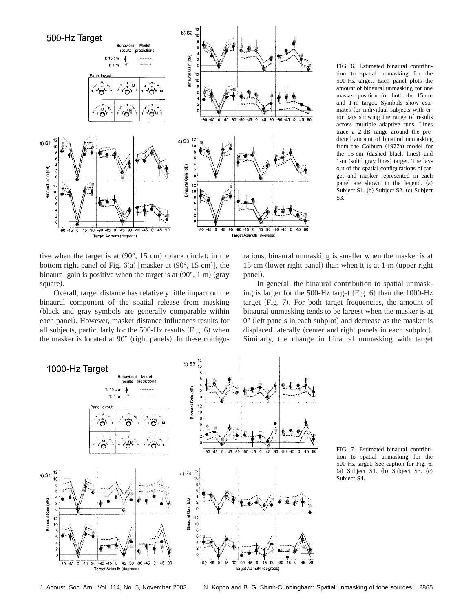

tive when the target is at  $(90^{\circ}, 15 \text{ cm})$  (black circle); in the bottom right panel of Fig.  $6(a)$  [masker at  $(90^{\circ}, 15 \text{ cm})$ ], the binaural gain is positive when the target is at  $(90^{\circ}, 1 \text{ m})$  (gray square).

Overall, target distance has relatively little impact on the binaural component of the spatial release from masking (black and gray symbols are generally comparable within each panel). However, masker distance influences results for all subjects, particularly for the  $500$ -Hz results (Fig. 6) when the masker is located at  $90^{\circ}$  (right panels). In these configuFIG. 6. Estimated binaural contribution to spatial unmasking for the 500-Hz target. Each panel plots the amount of binaural unmasking for one masker position for both the 15-cm and 1-m target. Symbols show estimates for individual subjects with error bars showing the range of results across multiple adaptive runs. Lines trace a 2-dB range around the predicted amount of binaural unmasking from the Colburn (1977a) model for the 15-cm (dashed black lines) and 1-m (solid gray lines) target. The layout of the spatial configurations of target and masker represented in each panel are shown in the legend. (a) Subject S1. (b) Subject S2. (c) Subject S3.

rations, binaural unmasking is smaller when the masker is at 15-cm (lower right panel) than when it is at 1-m (upper right panel).

In general, the binaural contribution to spatial unmasking is larger for the 500-Hz target (Fig. 6) than the 1000-Hz target  $(Fig. 7)$ . For both target frequencies, the amount of binaural unmasking tends to be largest when the masker is at  $0^{\circ}$  (left panels in each subplot) and decrease as the masker is displaced laterally (center and right panels in each subplot). Similarly, the change in binaural unmasking with target



FIG. 7. Estimated binaural contribution to spatial unmasking for the 500-Hz target. See caption for Fig. 6.  $(a)$  Subject S1.  $(b)$  Subject S3.  $(c)$ Subject S4.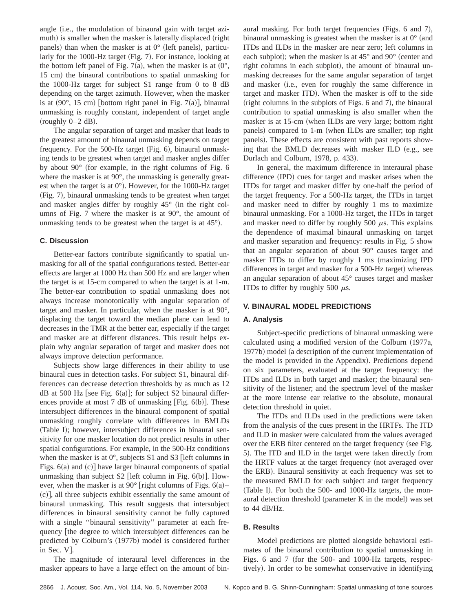angle (i.e., the modulation of binaural gain with target azimuth) is smaller when the masker is laterally displaced (right panels) than when the masker is at  $0^{\circ}$  (left panels), particularly for the 1000-Hz target  $(Fig. 7)$ . For instance, looking at the bottom left panel of Fig. 7(a), when the masker is at  $(0^{\circ},$ 15 cm) the binaural contributions to spatial unmasking for the 1000-Hz target for subject S1 range from 0 to 8 dB depending on the target azimuth. However, when the masker is at  $(90^{\circ}, 15 \text{ cm})$  [bottom right panel in Fig. 7(a)], binaural unmasking is roughly constant, independent of target angle  $({\rm roughly~0-2~dB}).$ 

The angular separation of target and masker that leads to the greatest amount of binaural unmasking depends on target frequency. For the  $500$ -Hz target (Fig. 6), binaural unmasking tends to be greatest when target and masker angles differ by about  $90^{\circ}$  (for example, in the right columns of Fig. 6 where the masker is at 90°, the unmasking is generally greatest when the target is at  $0^{\circ}$ ). However, for the 1000-Hz target (Fig. 7), binaural unmasking tends to be greatest when target and masker angles differ by roughly  $45^{\circ}$  (in the right columns of Fig. 7 where the masker is at 90°, the amount of unmasking tends to be greatest when the target is at  $45^{\circ}$ ).

# **C. Discussion**

Better-ear factors contribute significantly to spatial unmasking for all of the spatial configurations tested. Better-ear effects are larger at 1000 Hz than 500 Hz and are larger when the target is at 15-cm compared to when the target is at 1-m. The better-ear contribution to spatial unmasking does not always increase monotonically with angular separation of target and masker. In particular, when the masker is at 90°, displacing the target toward the median plane can lead to decreases in the TMR at the better ear, especially if the target and masker are at different distances. This result helps explain why angular separation of target and masker does not always improve detection performance.

Subjects show large differences in their ability to use binaural cues in detection tasks. For subject S1, binaural differences can decrease detection thresholds by as much as 12 dB at 500 Hz [see Fig.  $6(a)$ ]; for subject S2 binaural differences provide at most 7 dB of unmasking [Fig.  $6(b)$ ]. These intersubject differences in the binaural component of spatial unmasking roughly correlate with differences in BMLDs (Table I); however, intersubject differences in binaural sensitivity for one masker location do not predict results in other spatial configurations. For example, in the 500-Hz conditions when the masker is at  $0^{\circ}$ , subjects S1 and S3 [left columns in Figs.  $6(a)$  and  $(c)$ ] have larger binaural components of spatial unmasking than subject  $S2$  [left column in Fig. 6(b)]. However, when the masker is at 90 $^{\circ}$  [right columns of Figs. 6(a)–  $(c)$ , all three subjects exhibit essentially the same amount of binaural unmasking. This result suggests that intersubject differences in binaural sensitivity cannot be fully captured with a single ''binaural sensitivity'' parameter at each frequency *[the degree to which intersubject differences can be* predicted by Colburn's (1977b) model is considered further in Sec.  $V$ .

The magnitude of interaural level differences in the masker appears to have a large effect on the amount of binaural masking. For both target frequencies (Figs.  $6$  and 7), binaural unmasking is greatest when the masker is at  $0^{\circ}$  (and ITDs and ILDs in the masker are near zero; left columns in each subplot); when the masker is at  $45^{\circ}$  and  $90^{\circ}$  (center and right columns in each subplot), the amount of binaural unmasking decreases for the same angular separation of target and masker (i.e., even for roughly the same difference in target and masker ITD). When the masker is off to the side (right columns in the subplots of Figs. 6 and 7), the binaural contribution to spatial unmasking is also smaller when the masker is at 15-cm (when ILDs are very large; bottom right panels) compared to 1-m (when ILDs are smaller; top right panels). These effects are consistent with past reports showing that the BMLD decreases with masker ILD (e.g., see Durlach and Colburn, 1978, p. 433).

In general, the maximum difference in interaural phase difference (IPD) cues for target and masker arises when the ITDs for target and masker differ by one-half the period of the target frequency. For a 500-Hz target, the ITDs in target and masker need to differ by roughly 1 ms to maximize binaural unmasking. For a 1000-Hz target, the ITDs in target and masker need to differ by roughly 500  $\mu$ s. This explains the dependence of maximal binaural unmasking on target and masker separation and frequency: results in Fig. 5 show that an angular separation of about 90° causes target and masker ITDs to differ by roughly  $1$  ms (maximizing IPD differences in target and masker for a 500-Hz target) whereas an angular separation of about 45° causes target and masker ITDs to differ by roughly 500  $\mu$ s.

### **V. BINAURAL MODEL PREDICTIONS**

### **A. Analysis**

Subject-specific predictions of binaural unmasking were calculated using a modified version of the Colburn (1977a, 1977b) model (a description of the current implementation of the model is provided in the Appendix). Predictions depend on six parameters, evaluated at the target frequency: the ITDs and ILDs in both target and masker; the binaural sensitivity of the listener; and the spectrum level of the masker at the more intense ear relative to the absolute, monaural detection threshold in quiet.

The ITDs and ILDs used in the predictions were taken from the analysis of the cues present in the HRTFs. The ITD and ILD in masker were calculated from the values averaged over the ERB filter centered on the target frequency (see Fig. 5). The ITD and ILD in the target were taken directly from the HRTF values at the target frequency (not averaged over the ERB). Binaural sensitivity at each frequency was set to the measured BMLD for each subject and target frequency (Table I). For both the  $500-$  and  $1000-Hz$  targets, the monaural detection threshold (parameter K in the model) was set to 44 dB/Hz.

# **B. Results**

Model predictions are plotted alongside behavioral estimates of the binaural contribution to spatial unmasking in Figs. 6 and 7 (for the 500- and 1000-Hz targets, respectively). In order to be somewhat conservative in identifying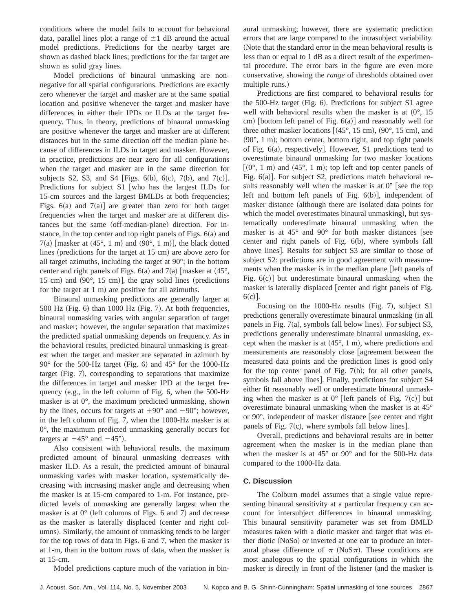conditions where the model fails to account for behavioral data, parallel lines plot a range of  $\pm 1$  dB around the actual model predictions. Predictions for the nearby target are shown as dashed black lines; predictions for the far target are shown as solid gray lines.

Model predictions of binaural unmasking are nonnegative for all spatial configurations. Predictions are exactly zero whenever the target and masker are at the same spatial location and positive whenever the target and masker have differences in either their IPDs or ILDs at the target frequency. Thus, in theory, predictions of binaural unmasking are positive whenever the target and masker are at different distances but in the same direction off the median plane because of differences in ILDs in target and masker. However, in practice, predictions are near zero for all configurations when the target and masker are in the same direction for subjects S2, S3, and S4 [Figs. 6(b), 6(c), 7(b), and 7(c)]. Predictions for subject S1 [who has the largest ILDs for 15-cm sources and the largest BMLDs at both frequencies; Figs.  $6(a)$  and  $7(a)$  are greater than zero for both target frequencies when the target and masker are at different distances but the same (off-median-plane) direction. For instance, in the top center and top right panels of Figs.  $6(a)$  and  $7(a)$  [masker at  $(45^{\circ}, 1 \text{ m})$  and  $(90^{\circ}, 1 \text{ m})$ ], the black dotted lines (predictions for the target at  $15 \text{ cm}$ ) are above zero for all target azimuths, including the target at 90°; in the bottom center and right panels of Figs.  $6(a)$  and  $7(a)$  [masker at  $(45^{\circ})$ , 15 cm) and  $(90^{\circ}, 15 \text{ cm})$ , the gray solid lines (predictions for the target at  $1 \text{ m}$  are positive for all azimuths.

Binaural unmasking predictions are generally larger at  $500$  Hz (Fig. 6) than 1000 Hz (Fig. 7). At both frequencies, binaural unmasking varies with angular separation of target and masker; however, the angular separation that maximizes the predicted spatial unmasking depends on frequency. As in the behavioral results, predicted binaural unmasking is greatest when the target and masker are separated in azimuth by  $90^{\circ}$  for the 500-Hz target (Fig. 6) and 45° for the 1000-Hz target  $(Fig. 7)$ , corresponding to separations that maximize the differences in target and masker IPD at the target frequency (e.g., in the left column of Fig. 6, when the  $500-Hz$ masker is at 0°, the maximum predicted unmasking, shown by the lines, occurs for targets at  $+90^{\circ}$  and  $-90^{\circ}$ ; however, in the left column of Fig. 7, when the 1000-Hz masker is at 0°, the maximum predicted unmasking generally occurs for targets at  $+45^{\circ}$  and  $-45^{\circ}$ ).

Also consistent with behavioral results, the maximum predicted amount of binaural unmasking decreases with masker ILD. As a result, the predicted amount of binaural unmasking varies with masker location, systematically decreasing with increasing masker angle and decreasing when the masker is at 15-cm compared to 1-m. For instance, predicted levels of unmasking are generally largest when the masker is at  $0^{\circ}$  (left columns of Figs. 6 and 7) and decrease as the masker is laterally displaced (center and right columns). Similarly, the amount of unmasking tends to be larger for the top rows of data in Figs. 6 and 7, when the masker is at 1-m, than in the bottom rows of data, when the masker is at 15-cm.

Model predictions capture much of the variation in bin-

aural unmasking; however, there are systematic prediction errors that are large compared to the intrasubject variability. (Note that the standard error in the mean behavioral results is less than or equal to 1 dB as a direct result of the experimental procedure. The error bars in the figure are even more conservative, showing the *range* of thresholds obtained over multiple runs.)

Predictions are first compared to behavioral results for the 500-Hz target (Fig. 6). Predictions for subject S1 agree well with behavioral results when the masker is at  $(0^{\circ}, 15)$ cm) [bottom left panel of Fig.  $6(a)$ ] and reasonably well for three other masker locations  $[ (45^{\circ}, 15 \text{ cm}), (90^{\circ}, 15 \text{ cm}),$  and  $(90^{\circ}, 1 \text{ m})$ ; bottom center, bottom right, and top right panels of Fig.  $6(a)$ , respectively]. However, S1 predictions tend to overestimate binaural unmasking for two masker locations  $[$ (0°, 1 m) and (45°, 1 m); top left and top center panels of Fig.  $6(a)$ ]. For subject S2, predictions match behavioral results reasonably well when the masker is at  $0^{\circ}$  [see the top left and bottom left panels of Fig.  $6(b)$ , independent of masker distance (although there are isolated data points for which the model overestimates binaural unmasking), but systematically underestimate binaural unmasking when the masker is at  $45^{\circ}$  and  $90^{\circ}$  for both masker distances [see center and right panels of Fig.  $6(b)$ , where symbols fall above lines]. Results for subject S3 are similar to those of subject S2: predictions are in good agreement with measurements when the masker is in the median plane [left panels of Fig.  $6(c)$  but underestimate binaural unmasking when the masker is laterally displaced [center and right panels of Fig.  $6(c)$ ].

Focusing on the 1000-Hz results  $(Fig. 7)$ , subject S1 predictions generally overestimate binaural unmasking (in all panels in Fig.  $7(a)$ , symbols fall below lines). For subject S3, predictions generally underestimate binaural unmasking, except when the masker is at  $(45^{\circ}, 1 \text{ m})$ , where predictions and measurements are reasonably close [agreement between the measured data points and the prediction lines is good only for the top center panel of Fig.  $7(b)$ ; for all other panels, symbols fall above lines]. Finally, predictions for subject S4 either fit reasonably well or underestimate binaural unmasking when the masker is at  $0^{\circ}$  [left panels of Fig. 7(c)] but overestimate binaural unmasking when the masker is at 45° or  $90^\circ$ , independent of masker distance [see center and right panels of Fig.  $7(c)$ , where symbols fall below lines].

Overall, predictions and behavioral results are in better agreement when the masker is in the median plane than when the masker is at 45° or 90° and for the 500-Hz data compared to the 1000-Hz data.

### **C. Discussion**

The Colburn model assumes that a single value representing binaural sensitivity at a particular frequency can account for intersubject differences in binaural unmasking. This binaural sensitivity parameter was set from BMLD measures taken with a diotic masker and target that was either diotic  $(NoSo)$  or inverted at one ear to produce an interaural phase difference of  $\pi$  (NoS $\pi$ ). These conditions are most analogous to the spatial configurations in which the masker is directly in front of the listener (and the masker is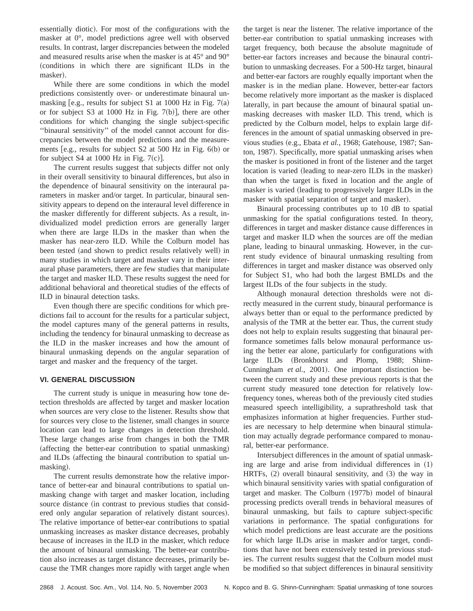essentially diotic). For most of the configurations with the masker at 0°, model predictions agree well with observed results. In contrast, larger discrepancies between the modeled and measured results arise when the masker is at 45° and 90° (conditions in which there are significant ILDs in the masker).

While there are some conditions in which the model predictions consistently over- or underestimate binaural unmasking  $[e.g.,$  results for subject S1 at 1000 Hz in Fig. 7(a) or for subject S3 at 1000 Hz in Fig.  $7(b)$ , there are other conditions for which changing the single subject-specific ''binaural sensitivity'' of the model cannot account for discrepancies between the model predictions and the measurements [e.g., results for subject  $S2$  at 500 Hz in Fig. 6(b) or for subject S4 at 1000 Hz in Fig.  $7(c)$ .

The current results suggest that subjects differ not only in their overall sensitivity to binaural differences, but also in the dependence of binaural sensitivity on the interaural parameters in masker and/or target. In particular, binaural sensitivity appears to depend on the interaural level difference in the masker differently for different subjects. As a result, individualized model prediction errors are generally larger when there are large ILDs in the masker than when the masker has near-zero ILD. While the Colburn model has been tested (and shown to predict results relatively well) in many studies in which target and masker vary in their interaural phase parameters, there are few studies that manipulate the target and masker ILD. These results suggest the need for additional behavioral and theoretical studies of the effects of ILD in binaural detection tasks.

Even though there are specific conditions for which predictions fail to account for the results for a particular subject, the model captures many of the general patterns in results, including the tendency for binaural unmasking to decrease as the ILD in the masker increases and how the amount of binaural unmasking depends on the angular separation of target and masker and the frequency of the target.

# **VI. GENERAL DISCUSSION**

The current study is unique in measuring how tone detection thresholds are affected by target and masker location when sources are very close to the listener. Results show that for sources very close to the listener, small changes in source location can lead to large changes in detection threshold. These large changes arise from changes in both the TMR (affecting the better-ear contribution to spatial unmasking) and ILDs (affecting the binaural contribution to spatial unmasking).

The current results demonstrate how the relative importance of better-ear and binaural contributions to spatial unmasking change with target and masker location, including source distance (in contrast to previous studies that considered only angular separation of relatively distant sources). The relative importance of better-ear contributions to spatial unmasking increases as masker distance decreases, probably because of increases in the ILD in the masker, which reduce the amount of binaural unmasking. The better-ear contribution also increases as target distance decreases, primarily because the TMR changes more rapidly with target angle when the target is near the listener. The relative importance of the better-ear contribution to spatial unmasking increases with target frequency, both because the absolute magnitude of better-ear factors increases and because the binaural contribution to unmasking decreases. For a 500-Hz target, binaural and better-ear factors are roughly equally important when the masker is in the median plane. However, better-ear factors become relatively more important as the masker is displaced laterally, in part because the amount of binaural spatial unmasking decreases with masker ILD. This trend, which is predicted by the Colburn model, helps to explain large differences in the amount of spatial unmasking observed in previous studies (e.g., Ebata et al., 1968; Gatehouse, 1987; Santon, 1987). Specifically, more spatial unmasking arises when the masker is positioned in front of the listener and the target location is varied (leading to near-zero ILDs in the masker) than when the target is fixed in location and the angle of masker is varied (leading to progressively larger ILDs in the masker with spatial separation of target and masker).

Binaural processing contributes up to 10 dB to spatial unmasking for the spatial configurations tested. In theory, differences in target and masker distance cause differences in target and masker ILD when the sources are off the median plane, leading to binaural unmasking. However, in the current study evidence of binaural unmasking resulting from differences in target and masker distance was observed only for Subject S1, who had both the largest BMLDs and the largest ILDs of the four subjects in the study.

Although monaural detection thresholds were not directly measured in the current study, binaural performance is always better than or equal to the performance predicted by analysis of the TMR at the better ear. Thus, the current study does not help to explain results suggesting that binaural performance sometimes falls below monaural performance using the better ear alone, particularly for configurations with large ILDs (Bronkhorst and Plomp, 1988; Shinn-Cunningham *et al.*, 2001). One important distinction between the current study and these previous reports is that the current study measured tone detection for relatively lowfrequency tones, whereas both of the previously cited studies measured speech intelligibility, a suprathreshold task that emphasizes information at higher frequencies. Further studies are necessary to help determine when binaural stimulation may actually degrade performance compared to monaural, better-ear performance.

Intersubject differences in the amount of spatial unmasking are large and arise from individual differences in  $(1)$ HRTFs,  $(2)$  overall binaural sensitivity, and  $(3)$  the way in which binaural sensitivity varies with spatial configuration of target and masker. The Colburn (1977b) model of binaural processing predicts overall trends in behavioral measures of binaural unmasking, but fails to capture subject-specific variations in performance. The spatial configurations for which model predictions are least accurate are the positions for which large ILDs arise in masker and/or target, conditions that have not been extensively tested in previous studies. The current results suggest that the Colburn model must be modified so that subject differences in binaural sensitivity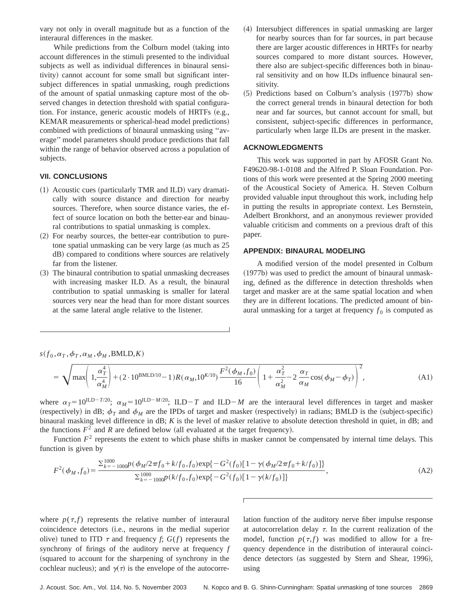vary not only in overall magnitude but as a function of the interaural differences in the masker.

While predictions from the Colburn model (taking into account differences in the stimuli presented to the individual subjects as well as individual differences in binaural sensitivity) cannot account for some small but significant intersubject differences in spatial unmasking, rough predictions of the amount of spatial unmasking capture most of the observed changes in detection threshold with spatial configuration. For instance, generic acoustic models of HRTFs (e.g., KEMAR measurements or spherical-head model predictions) combined with predictions of binaural unmasking using ''average'' model parameters should produce predictions that fall within the range of behavior observed across a population of subjects.

# **VII. CONCLUSIONS**

- $(1)$  Acoustic cues (particularly TMR and ILD) vary dramatically with source distance and direction for nearby sources. Therefore, when source distance varies, the effect of source location on both the better-ear and binaural contributions to spatial unmasking is complex.
- $(2)$  For nearby sources, the better-ear contribution to puretone spatial unmasking can be very large (as much as  $25$ ) dB) compared to conditions where sources are relatively far from the listener.
- ~3! The binaural contribution to spatial unmasking decreases with increasing masker ILD. As a result, the binaural contribution to spatial unmasking is smaller for lateral sources very near the head than for more distant sources at the same lateral angle relative to the listener.
- (4) Intersubject differences in spatial unmasking are larger for nearby sources than for far sources, in part because there are larger acoustic differences in HRTFs for nearby sources compared to more distant sources. However, there also are subject-specific differences both in binaural sensitivity and on how ILDs influence binaural sensitivity.
- $(5)$  Predictions based on Colburn's analysis  $(1977b)$  show the correct general trends in binaural detection for both near and far sources, but cannot account for small, but consistent, subject-specific differences in performance, particularly when large ILDs are present in the masker.

### **ACKNOWLEDGMENTS**

This work was supported in part by AFOSR Grant No. F49620-98-1-0108 and the Alfred P. Sloan Foundation. Portions of this work were presented at the Spring 2000 meeting of the Acoustical Society of America. H. Steven Colburn provided valuable input throughout this work, including help in putting the results in appropriate context. Les Bernstein, Adelbert Bronkhorst, and an anonymous reviewer provided valuable criticism and comments on a previous draft of this paper.

### **APPENDIX: BINAURAL MODELING**

A modified version of the model presented in Colburn  $(1977b)$  was used to predict the amount of binaural unmasking, defined as the difference in detection thresholds when target and masker are at the same spatial location and when they are in different locations. The predicted amount of binaural unmasking for a target at frequency  $f_0$  is computed as

 $s(f_0, \alpha_T, \phi_T, \alpha_M, \phi_M, \text{BMLD}, K)$ 

$$
= \sqrt{\max\left(1, \frac{\alpha_T^4}{\alpha_M^4}\right) + (2 \cdot 10^{BMLD/10} - 1)R(\alpha_M, 10^{K/10}) \frac{F^2(\phi_M, f_0)}{16} \left(1 + \frac{\alpha_T^2}{\alpha_M^2} - 2 \frac{\alpha_T}{\alpha_M} \cos(\phi_M - \phi_T)\right)^2},
$$
(A1)

where  $\alpha_T=10^{\text{ILD}-T/20}$ ;  $\alpha_M=10^{\text{ILD}-M/20}$ ; ILD-T and ILD-M are the interaural level differences in target and masker (respectively) in dB;  $\phi_T$  and  $\phi_M$  are the IPDs of target and masker (respectively) in radians; BMLD is the (subject-specific) binaural masking level difference in dB; *K* is the level of masker relative to absolute detection threshold in quiet, in dB; and the functions  $F^2$  and  $R$  are defined below (all evaluated at the target frequency).

Function  $F<sup>2</sup>$  represents the extent to which phase shifts in masker cannot be compensated by internal time delays. This function is given by

$$
F^{2}(\phi_{M},f_{0}) = \frac{\sum_{k=-1000}^{1000} p(\phi_{M}/2\pi f_{0} + k/f_{0},f_{0}) \exp\{-G^{2}(f_{0})[1 - \gamma(\phi_{M}/2\pi f_{0} + k/f_{0})]\}}{\sum_{k=-1000}^{1000} p(k/f_{0},f_{0}) \exp\{-G^{2}(f_{0})[1 - \gamma(k/f_{0})]\}},
$$
(A2)

where  $p(\tau, f)$  represents the relative number of interaural coincidence detectors ~i.e., neurons in the medial superior olive) tuned to ITD  $\tau$  and frequency *f*;  $G(f)$  represents the synchrony of firings of the auditory nerve at frequency *f* (squared to account for the sharpening of synchrony in the cochlear nucleus); and  $\gamma(\tau)$  is the envelope of the autocorrelation function of the auditory nerve fiber impulse response at autocorrelation delay  $\tau$ . In the current realization of the model, function  $p(\tau, f)$  was modified to allow for a frequency dependence in the distribution of interaural coincidence detectors (as suggested by Stern and Shear, 1996), using